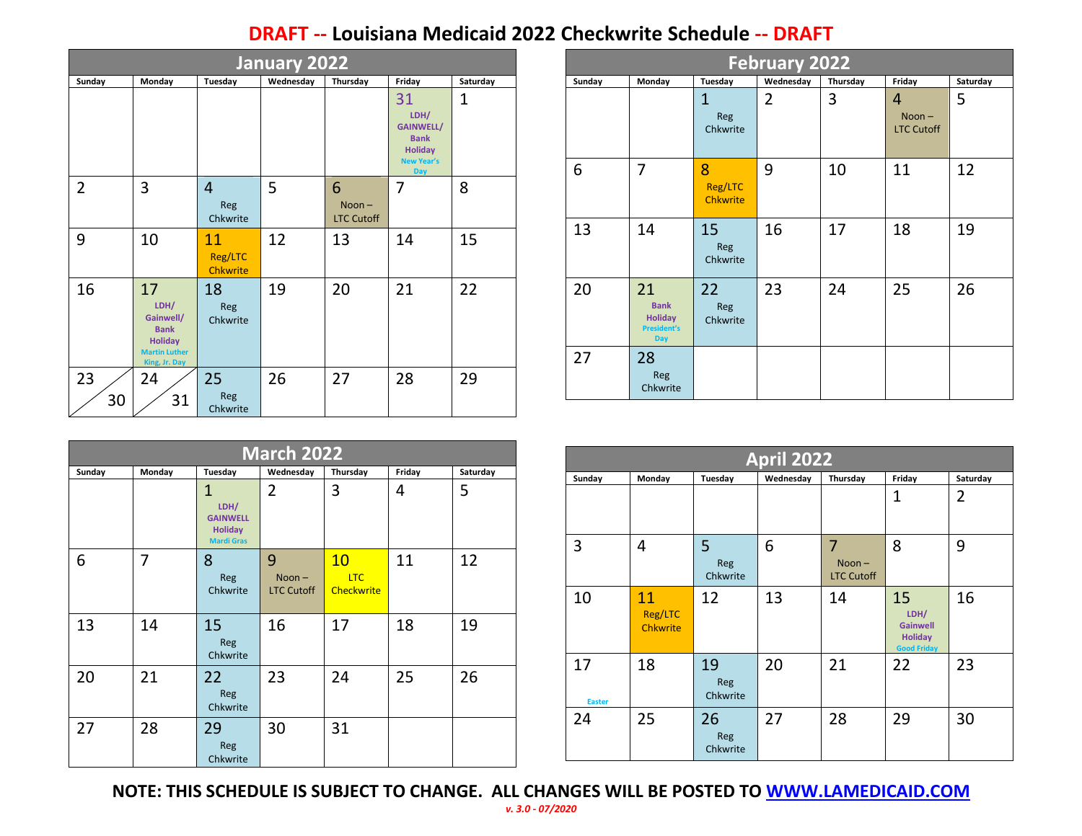## **DRAFT -- Louisiana Medicaid 2022 Checkwrite Schedule -- DRAFT**

| January 2022   |                                                                                                   |                                   |           |                                    |                                                                                             |             |  |  |  |
|----------------|---------------------------------------------------------------------------------------------------|-----------------------------------|-----------|------------------------------------|---------------------------------------------------------------------------------------------|-------------|--|--|--|
| Sunday         | Monday                                                                                            | Tuesday                           | Wednesday | Thursday                           | Friday                                                                                      | Saturday    |  |  |  |
|                |                                                                                                   |                                   |           |                                    | 31<br>LDH/<br><b>GAINWELL/</b><br><b>Bank</b><br><b>Holiday</b><br>New Year's<br><b>Day</b> | $\mathbf 1$ |  |  |  |
| $\overline{2}$ | 3                                                                                                 | $\overline{4}$<br>Reg<br>Chkwrite | 5         | 6<br>$Noon -$<br><b>LTC Cutoff</b> | 7                                                                                           | 8           |  |  |  |
| 9              | 10                                                                                                | 11<br>Reg/LTC<br><b>Chkwrite</b>  | 12        | 13                                 | 14                                                                                          | 15          |  |  |  |
| 16             | 17<br>LDH/<br>Gainwell/<br><b>Bank</b><br><b>Holiday</b><br><b>Martin Luther</b><br>King, Jr. Day | 18<br>Reg<br>Chkwrite             | 19        | 20                                 | 21                                                                                          | 22          |  |  |  |
| 23<br>30       | 24<br>31                                                                                          | 25<br>Reg<br>Chkwrite             | 26        | 27                                 | 28                                                                                          | 29          |  |  |  |

| <b>February 2022</b> |                                                                         |                                 |                |          |                                                 |          |  |  |  |  |
|----------------------|-------------------------------------------------------------------------|---------------------------------|----------------|----------|-------------------------------------------------|----------|--|--|--|--|
| Sunday               | Monday                                                                  | Tuesday                         | Wednesday      | Thursday | Friday                                          | Saturday |  |  |  |  |
|                      |                                                                         | $\mathbf{1}$<br>Reg<br>Chkwrite | $\overline{2}$ | 3        | $\overline{4}$<br>$Noon -$<br><b>LTC Cutoff</b> | 5        |  |  |  |  |
| 6                    | 7                                                                       | 8<br>Reg/LTC<br><b>Chkwrite</b> | 9              | 10       | 11                                              | 12       |  |  |  |  |
| 13                   | 14                                                                      | 15<br>Reg<br>Chkwrite           | 16             | 17       | 18                                              | 19       |  |  |  |  |
| 20                   | 21<br><b>Bank</b><br><b>Holiday</b><br><b>President's</b><br><b>Day</b> | 22<br>Reg<br>Chkwrite           | 23             | 24       | 25                                              | 26       |  |  |  |  |
| 27                   | 28<br>Reg<br>Chkwrite                                                   |                                 |                |          |                                                 |          |  |  |  |  |

|        |                |                                                                                | <b>March 2022</b> |                   |        |          |                     |                     |  |
|--------|----------------|--------------------------------------------------------------------------------|-------------------|-------------------|--------|----------|---------------------|---------------------|--|
| Sunday | Monday         | Tuesday                                                                        | Wednesday         | Thursday          | Friday | Saturday | Sunday              | Monday              |  |
|        |                | $\mathbf{1}$<br>LDH/<br><b>GAINWELL</b><br><b>Holiday</b><br><b>Mardi Gras</b> | $\overline{2}$    | 3                 | 4      | 5        | 3                   | $\overline{4}$      |  |
| 6      | $\overline{7}$ | 8<br>Reg                                                                       | 9<br>$Noon -$     | 10<br>LTC         | 11     | 12       |                     |                     |  |
|        |                | Chkwrite                                                                       | <b>LTC Cutoff</b> | <b>Checkwrite</b> |        |          | 10                  | 11                  |  |
| 13     | 14             | 15<br>Reg<br>Chkwrite                                                          | 16                | 17                | 18     | 19       |                     | Reg/LTC<br>Chkwrite |  |
| 20     | 21             | 22<br>Reg<br>Chkwrite                                                          | 23                | 24                | 25     | 26       | 17<br><b>Easter</b> | 18                  |  |
| 27     | 28             | 29<br>Reg<br>Chkwrite                                                          | 30                | 31                |        |          | 24                  | 25                  |  |

| <b>April 2022</b>   |                                  |                       |           |                                                 |                                                                       |          |  |  |  |  |
|---------------------|----------------------------------|-----------------------|-----------|-------------------------------------------------|-----------------------------------------------------------------------|----------|--|--|--|--|
| Sunday              | Monday                           | Tuesday               | Wednesday | Thursday                                        | Friday                                                                | Saturday |  |  |  |  |
|                     |                                  |                       |           |                                                 | 1                                                                     | 2        |  |  |  |  |
| 3                   | 4                                | 5<br>Reg<br>Chkwrite  | 6         | $\overline{7}$<br>$Noon -$<br><b>LTC Cutoff</b> | 8                                                                     | 9        |  |  |  |  |
| 10                  | 11<br>Reg/LTC<br><b>Chkwrite</b> | 12                    | 13        | 14                                              | 15<br>LDH/<br><b>Gainwell</b><br><b>Holiday</b><br><b>Good Friday</b> | 16       |  |  |  |  |
| 17<br><b>Easter</b> | 18                               | 19<br>Reg<br>Chkwrite | 20        | 21                                              | 22                                                                    | 23       |  |  |  |  |
| 24                  | 25                               | 26<br>Reg<br>Chkwrite | 27        | 28                                              | 29                                                                    | 30       |  |  |  |  |

**NOTE: THIS SCHEDULE IS SUBJECT TO CHANGE. ALL CHANGES WILL BE POSTED TO [WWW.LAMEDICAID.COM](http://www.lamedicaid.com/)**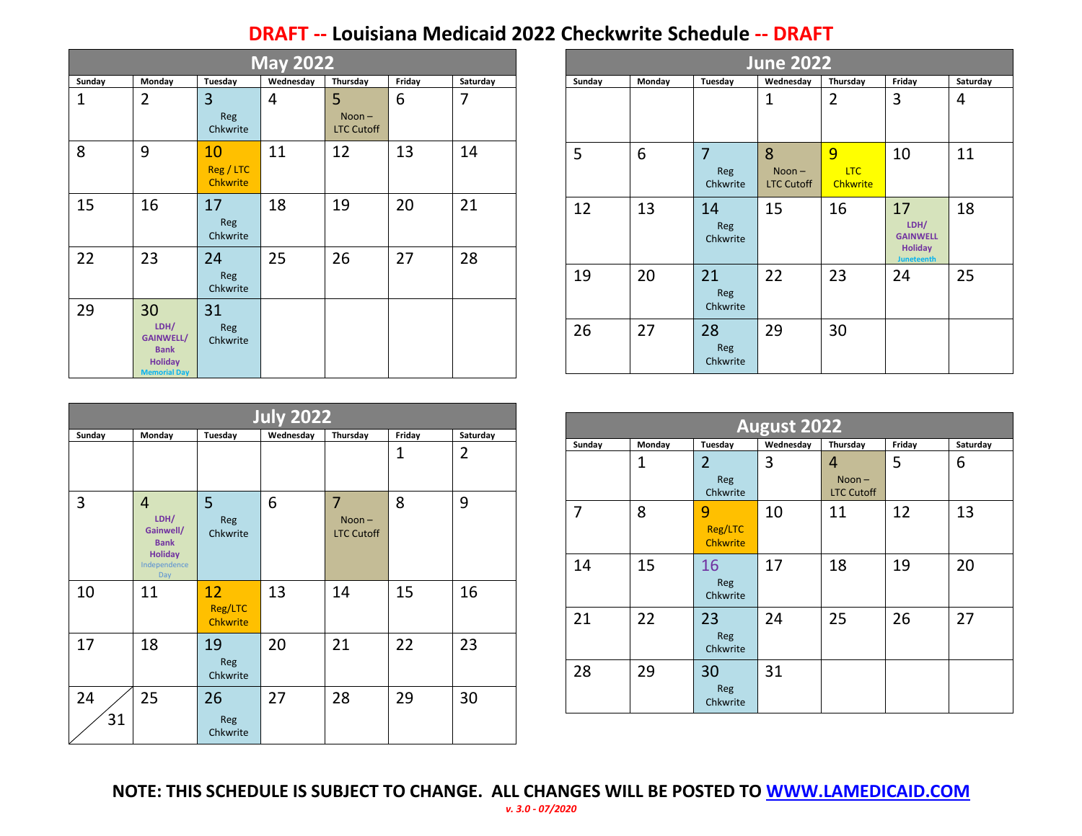## **DRAFT -- Louisiana Medicaid 2022 Checkwrite Schedule -- DRAFT**

| <b>May 2022</b> |                                                                                        |                                    |           |                                    |        |          |  |  |  |  |
|-----------------|----------------------------------------------------------------------------------------|------------------------------------|-----------|------------------------------------|--------|----------|--|--|--|--|
| Sunday          | Monday                                                                                 | Tuesday                            | Wednesday | Thursday                           | Friday | Saturday |  |  |  |  |
| 1               | 2                                                                                      | 3<br>Reg<br>Chkwrite               | 4         | 5<br>$Noon -$<br><b>LTC Cutoff</b> | 6      | 7        |  |  |  |  |
| 8               | 9                                                                                      | 10<br>Reg / LTC<br><b>Chkwrite</b> | 11        | 12                                 | 13     | 14       |  |  |  |  |
| 15              | 16                                                                                     | 17<br>Reg<br>Chkwrite              | 18        | 19                                 | 20     | 21       |  |  |  |  |
| 22              | 23                                                                                     | 24<br>Reg<br>Chkwrite              | 25        | 26                                 | 27     | 28       |  |  |  |  |
| 29              | 30<br>LDH/<br><b>GAINWELL/</b><br><b>Bank</b><br><b>Holiday</b><br><b>Memorial Day</b> | 31<br>Reg<br>Chkwrite              |           |                                    |        |          |  |  |  |  |

|        | <b>June 2022</b> |                                   |                                    |                                    |                                                                      |          |  |  |  |
|--------|------------------|-----------------------------------|------------------------------------|------------------------------------|----------------------------------------------------------------------|----------|--|--|--|
| Sunday | Monday           | Tuesday                           | Wednesday                          | Thursday                           | Friday                                                               | Saturday |  |  |  |
|        |                  |                                   | $\overline{1}$                     | 2                                  | 3                                                                    | 4        |  |  |  |
| 5      | 6                | $\overline{7}$<br>Reg<br>Chkwrite | 8<br>$Noon -$<br><b>LTC Cutoff</b> | 9<br><b>LTC</b><br><b>Chkwrite</b> | 10                                                                   | 11       |  |  |  |
| 12     | 13               | 14<br>Reg<br>Chkwrite             | 15                                 | 16                                 | 17<br>LDH/<br><b>GAINWELL</b><br><b>Holiday</b><br><b>Juneteenth</b> | 18       |  |  |  |
| 19     | 20               | 21<br>Reg<br>Chkwrite             | 22                                 | 23                                 | 24                                                                   | 25       |  |  |  |
| 26     | 27               | 28<br>Reg<br>Chkwrite             | 29                                 | 30                                 |                                                                      |          |  |  |  |

| <b>July 2022</b> |                                                                                             |                                  |           |                                                 |              |                |  |  |  |
|------------------|---------------------------------------------------------------------------------------------|----------------------------------|-----------|-------------------------------------------------|--------------|----------------|--|--|--|
| Sunday           | Monday                                                                                      | Tuesday                          | Wednesday | Thursday                                        | Friday       | Saturday       |  |  |  |
|                  |                                                                                             |                                  |           |                                                 | $\mathbf{1}$ | $\overline{2}$ |  |  |  |
| 3                | $\overline{4}$<br>LDH/<br>Gainwell/<br><b>Bank</b><br><b>Holiday</b><br>Independence<br>Day | 5<br>Reg<br>Chkwrite             | 6         | $\overline{7}$<br>$Noon -$<br><b>LTC Cutoff</b> | 8            | 9              |  |  |  |
| 10               | 11                                                                                          | 12<br>Reg/LTC<br><b>Chkwrite</b> | 13        | 14                                              | 15           | 16             |  |  |  |
| 17               | 18                                                                                          | 19<br>Reg<br>Chkwrite            | 20        | 21                                              | 22           | 23             |  |  |  |
| 24<br>31         | 25                                                                                          | 26<br>Reg<br>Chkwrite            | 27        | 28                                              | 29           | 30             |  |  |  |

|        | <b>August 2022</b> |                                 |           |                                    |        |          |  |  |  |
|--------|--------------------|---------------------------------|-----------|------------------------------------|--------|----------|--|--|--|
| Sunday | Monday             | Tuesday                         | Wednesday | Thursday                           | Friday | Saturday |  |  |  |
|        | 1                  | 2<br>Reg<br>Chkwrite            | 3         | 4<br>$Noon -$<br><b>LTC Cutoff</b> | 5      | 6        |  |  |  |
| 7      | 8                  | 9<br>Reg/LTC<br><b>Chkwrite</b> | 10        | 11                                 | 12     | 13       |  |  |  |
| 14     | 15                 | 16<br>Reg<br>Chkwrite           | 17        | 18                                 | 19     | 20       |  |  |  |
| 21     | 22                 | 23<br>Reg<br>Chkwrite           | 24        | 25                                 | 26     | 27       |  |  |  |
| 28     | 29                 | 30<br><b>Reg</b><br>Chkwrite    | 31        |                                    |        |          |  |  |  |

**NOTE: THIS SCHEDULE IS SUBJECT TO CHANGE. ALL CHANGES WILL BE POSTED TO [WWW.LAMEDICAID.COM](http://www.lamedicaid.com/)** *v. 3.0 - 07/2020*